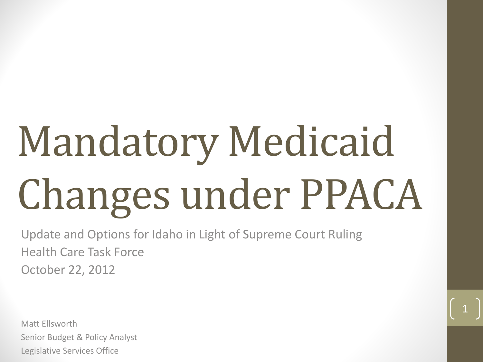# Mandatory Medicaid Changes under PPACA

Update and Options for Idaho in Light of Supreme Court Ruling Health Care Task Force October 22, 2012

Matt Ellsworth Senior Budget & Policy Analyst Legislative Services Office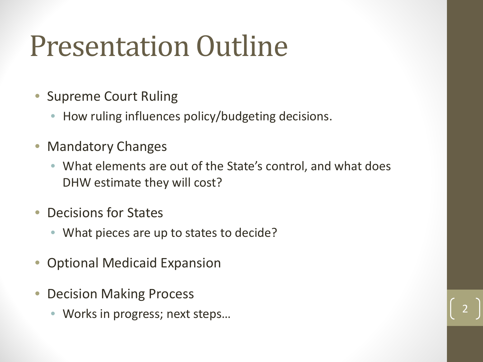### Presentation Outline

- Supreme Court Ruling
	- How ruling influences policy/budgeting decisions.
- Mandatory Changes
	- What elements are out of the State's control, and what does DHW estimate they will cost?
- Decisions for States
	- What pieces are up to states to decide?
- Optional Medicaid Expansion
- Decision Making Process
	- Works in progress; next steps...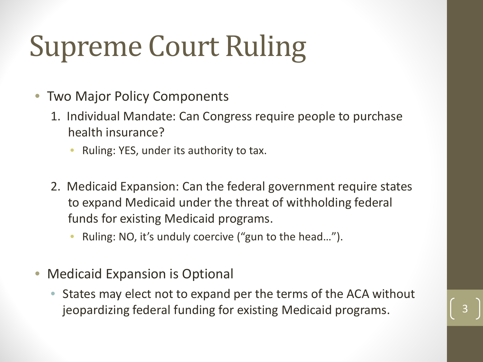# Supreme Court Ruling

- Two Major Policy Components
	- 1. Individual Mandate: Can Congress require people to purchase health insurance?
		- Ruling: YES, under its authority to tax.
	- 2. Medicaid Expansion: Can the federal government require states to expand Medicaid under the threat of withholding federal funds for existing Medicaid programs.
		- Ruling: NO, it's unduly coercive ("gun to the head…").
- Medicaid Expansion is Optional
	- States may elect not to expand per the terms of the ACA without jeopardizing federal funding for existing Medicaid programs.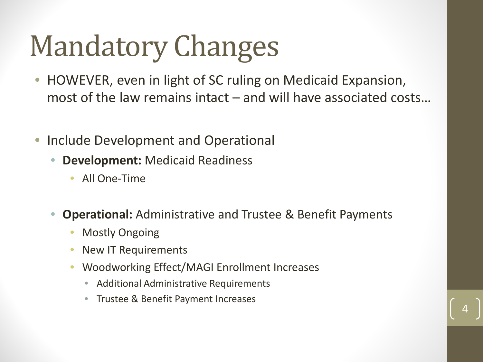## Mandatory Changes

- HOWEVER, even in light of SC ruling on Medicaid Expansion, most of the law remains intact – and will have associated costs…
- Include Development and Operational
	- **Development:** Medicaid Readiness
		- All One-Time
	- **Operational:** Administrative and Trustee & Benefit Payments

- **Mostly Ongoing**
- New IT Requirements
- Woodworking Effect/MAGI Enrollment Increases
	- Additional Administrative Requirements
	- Trustee & Benefit Payment Increases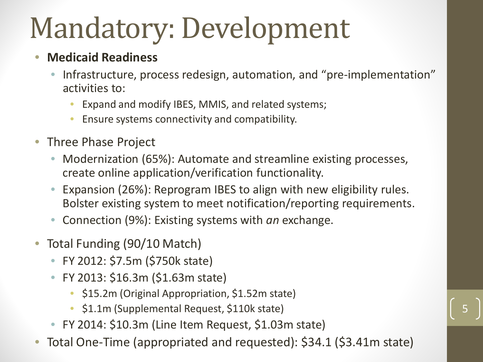## Mandatory: Development

### • **Medicaid Readiness**

- Infrastructure, process redesign, automation, and "pre-implementation" activities to:
	- Expand and modify IBES, MMIS, and related systems;
	- Ensure systems connectivity and compatibility.
- Three Phase Project
	- Modernization (65%): Automate and streamline existing processes, create online application/verification functionality.
	- Expansion (26%): Reprogram IBES to align with new eligibility rules. Bolster existing system to meet notification/reporting requirements.
	- Connection (9%): Existing systems with *an* exchange.
- Total Funding (90/10 Match)
	- FY 2012: \$7.5m (\$750k state)
	- FY 2013: \$16.3m (\$1.63m state)
		- \$15.2m (Original Appropriation, \$1.52m state)
		- \$1.1m (Supplemental Request, \$110k state)
	- FY 2014: \$10.3m (Line Item Request, \$1.03m state)
- Total One-Time (appropriated and requested): \$34.1 (\$3.41m state)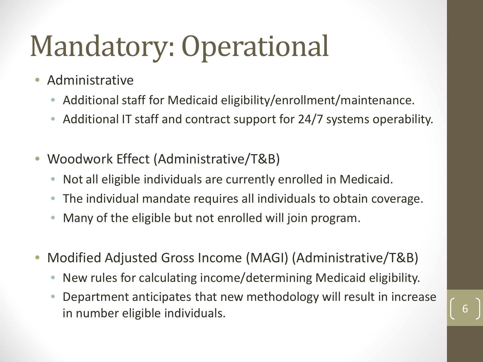### Mandatory: Operational

- Administrative
	- Additional staff for Medicaid eligibility/enrollment/maintenance.
	- Additional IT staff and contract support for 24/7 systems operability.
- Woodwork Effect (Administrative/T&B)
	- Not all eligible individuals are currently enrolled in Medicaid.
	- The individual mandate requires all individuals to obtain coverage.
	- Many of the eligible but not enrolled will join program.
- Modified Adjusted Gross Income (MAGI) (Administrative/T&B)
	- New rules for calculating income/determining Medicaid eligibility.
	- Department anticipates that new methodology will result in increase in number eligible individuals. The same state of the state of the state of the state of the state of the state o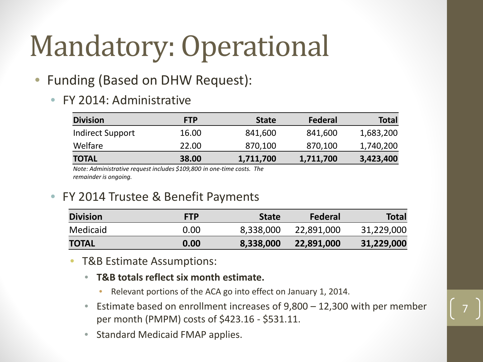### Mandatory: Operational

### • Funding (Based on DHW Request):

#### • FY 2014: Administrative

| <b>Division</b>         | <b>FTP</b> | <b>State</b> | Federal   | <b>Total</b> |
|-------------------------|------------|--------------|-----------|--------------|
| <b>Indirect Support</b> | 16.00      | 841,600      | 841,600   | 1,683,200    |
| Welfare                 | 22.00      | 870,100      | 870,100   | 1,740,200    |
| <b>TOTAL</b>            | 38.00      | 1,711,700    | 1,711,700 | 3,423,400    |

*Note: Administrative request includes \$109,800 in one-time costs. The remainder is ongoing.*

#### • FY 2014 Trustee & Benefit Payments

| <b>Division</b> | <b>FTP</b> | <b>State</b> | Federal    | <b>Total</b> |
|-----------------|------------|--------------|------------|--------------|
| Medicaid        | 0.00       | 8,338,000    | 22,891,000 | 31,229,000   |
| <b>TOTAL</b>    | 0.00       | 8,338,000    | 22,891,000 | 31,229,000   |

- T&B Estimate Assumptions:
	- **T&B totals reflect six month estimate.**
		- Relevant portions of the ACA go into effect on January 1, 2014.
	- Estimate based on enrollment increases of  $9,800 12,300$  with per member per month (PMPM) costs of \$423.16 - \$531.11.
	- Standard Medicaid FMAP applies.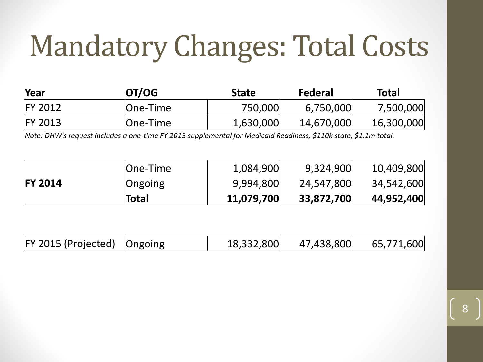### Mandatory Changes: Total Costs

| Year           | OT/OG        | <b>State</b> | Federal    | <b>Total</b> |
|----------------|--------------|--------------|------------|--------------|
| <b>FY 2012</b> | $ One-Time $ | 750,000      | 6,750,000  | 7,500,000    |
| <b>FY 2013</b> | One-Time     | 1,630,000    | 14,670,000 | 16,300,000   |

*Note: DHW's request includes a one-time FY 2013 supplemental for Medicaid Readiness, \$110k state, \$1.1m total.*

|                | <b>Total</b>    | 11,079,700 | 33,872,700 | 44,952,400 |
|----------------|-----------------|------------|------------|------------|
| <b>FY 2014</b> | Ongoing         | 9,994,800  | 24,547,800 | 34,542,600 |
|                | <b>One-Time</b> | 1,084,900  | 9,324,900  | 10,409,800 |

| $ FY 2015 (Projected)$ Ongoing |  |  | $18,332,800$ $47,438,800$ | 65,771,600 |
|--------------------------------|--|--|---------------------------|------------|
|--------------------------------|--|--|---------------------------|------------|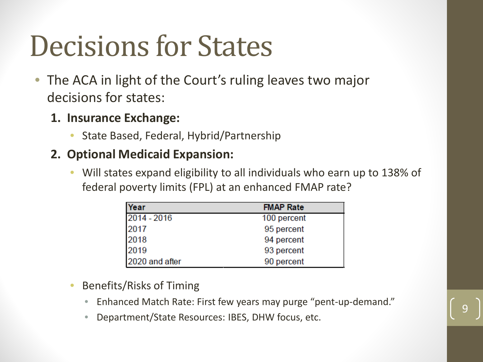### Decisions for States

- The ACA in light of the Court's ruling leaves two major decisions for states:
	- **1. Insurance Exchange:**
		- State Based, Federal, Hybrid/Partnership

### **2. Optional Medicaid Expansion:**

• Will states expand eligibility to all individuals who earn up to 138% of federal poverty limits (FPL) at an enhanced FMAP rate?

| Year           | <b>FMAP Rate</b> |
|----------------|------------------|
| $2014 - 2016$  | 100 percent      |
| 2017           | 95 percent       |
| 2018           | 94 percent       |
| 2019           | 93 percent       |
| 2020 and after | 90 percent       |

- Benefits/Risks of Timing
	- Enhanced Match Rate: First few years may purge "pent-up-demand."
	- Department/State Resources: IBES, DHW focus, etc.

$$
|9|
$$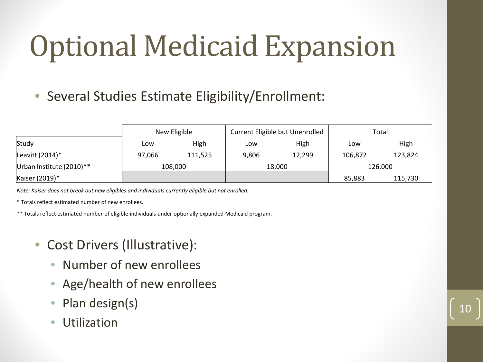# Optional Medicaid Expansion

• Several Studies Estimate Eligibility/Enrollment:

|                          | New Eligible |         | Current Eligible but Unenrolled |        | Total   |         |
|--------------------------|--------------|---------|---------------------------------|--------|---------|---------|
| Study                    | Low          | High    | Low                             | High   | Low     | High    |
| Leavitt $(2014)^*$       | 97,066       | 111,525 | 9,806                           | 12,299 | 106,872 | 123,824 |
| Urban Institute (2010)** | 108,000      |         | 18,000                          |        | 126,000 |         |
| Kaiser (2019)*           |              |         |                                 |        | 85,883  | 115,730 |

10

*Note: Kaiser does not break out new eligibles and individuals currently eligible but not enrolled.*

\* Totals reflect estimated number of new enrollees.

\*\* Totals reflect estimated number of eligible individuals under optionally expanded Medicaid program.

- Cost Drivers (Illustrative):
	- Number of new enrollees
	- Age/health of new enrollees
	- Plan design(s)
	- **Utilization**